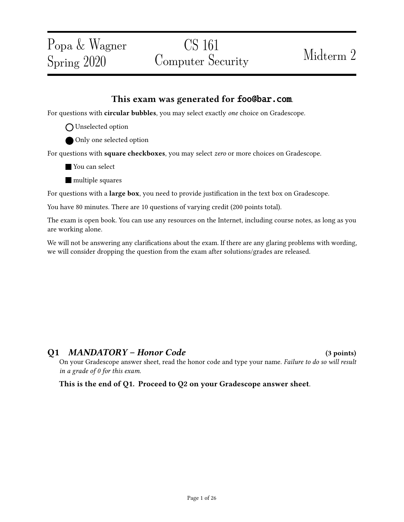### This exam was generated for foo@bar.com.

For questions with circular bubbles, you may select exactly one choice on Gradescope.

- O Unselected option
- Only one selected option

For questions with square checkboxes, you may select zero or more choices on Gradescope.

- **Nou can select**
- **nultiple** squares

For questions with a large box, you need to provide justification in the text box on Gradescope.

You have 80 minutes. There are 10 questions of varying credit (200 points total).

The exam is open book. You can use any resources on the Internet, including course notes, as long as you are working alone.

We will not be answering any clarifications about the exam. If there are any glaring problems with wording, we will consider dropping the question from the exam after solutions/grades are released.

## Q1 MANDATORY – Honor Code (3 points)

On your Gradescope answer sheet, read the honor code and type your name. Failure to do so will result in a grade of 0 for this exam.

This is the end of Q1. Proceed to Q2 on your Gradescope answer sheet.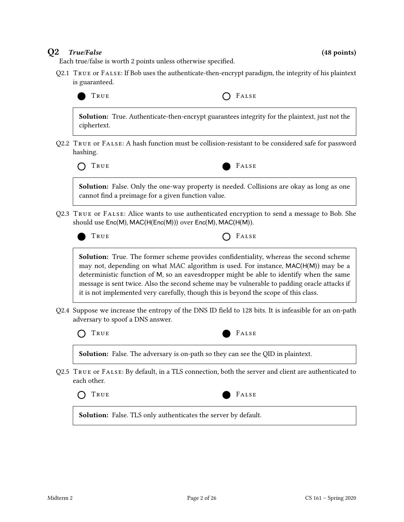### $Q2$  True/False (48 points)

Each true/false is worth 2 points unless otherwise specified.

Q2.1 True or False: If Bob uses the authenticate-then-encrypt paradigm, the integrity of his plaintext is guaranteed.



Solution: True. Authenticate-then-encrypt guarantees integrity for the plaintext, just not the ciphertext.

Q2.2 True or False: A hash function must be collision-resistant to be considered safe for password hashing.



Solution: False. Only the one-way property is needed. Collisions are okay as long as one cannot find a preimage for a given function value.

Q2.3 True or False: Alice wants to use authenticated encryption to send a message to Bob. She should use Enc(M), MAC(H(Enc(M))) over Enc(M), MAC(H(M)).

TRUE **CONSTRUE** 

Solution: True. The former scheme provides confidentiality, whereas the second scheme may not, depending on what MAC algorithm is used. For instance, MAC(H(M)) may be a deterministic function of M, so an eavesdropper might be able to identify when the same message is sent twice. Also the second scheme may be vulnerable to padding oracle attacks if it is not implemented very carefully, though this is beyond the scope of this class.

Q2.4 Suppose we increase the entropy of the DNS ID field to 128 bits. It is infeasible for an on-path adversary to spoof a DNS answer.

TRUE **FALSE** 



Solution: False. The adversary is on-path so they can see the QID in plaintext.

Q2.5 True or False: By default, in a TLS connection, both the server and client are authenticated to each other.





Solution: False. TLS only authenticates the server by default.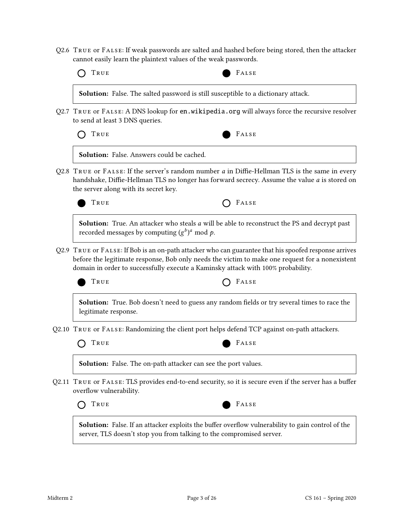Q2.6 True or False: If weak passwords are salted and hashed before being stored, then the attacker cannot easily learn the plaintext values of the weak passwords.

| Solution: False. The salted password is still susceptible to a dictionary attack.                                                                                                                                                                                                            |
|----------------------------------------------------------------------------------------------------------------------------------------------------------------------------------------------------------------------------------------------------------------------------------------------|
| Q2.7 TRUE or FALSE: A DNS lookup for en. wikipedia. org will always force the recursive resolver                                                                                                                                                                                             |
|                                                                                                                                                                                                                                                                                              |
|                                                                                                                                                                                                                                                                                              |
| Q2.8 TRUE or $FALSE$ : If the server's random number a in Diffie-Hellman TLS is the same in every<br>handshake, Diffie-Hellman TLS no longer has forward secrecy. Assume the value a is stored on                                                                                            |
|                                                                                                                                                                                                                                                                                              |
| <b>Solution:</b> True. An attacker who steals a will be able to reconstruct the PS and decrypt past                                                                                                                                                                                          |
| Q2.9 TRUE or FALSE: If Bob is an on-path attacker who can guarantee that his spoofed response arrives<br>before the legitimate response, Bob only needs the victim to make one request for a nonexistent<br>domain in order to successfully execute a Kaminsky attack with 100% probability. |
|                                                                                                                                                                                                                                                                                              |
| Solution: True. Bob doesn't need to guess any random fields or try several times to race the                                                                                                                                                                                                 |
| Q2.10 TRUE or FALSE: Randomizing the client port helps defend TCP against on-path attackers.                                                                                                                                                                                                 |
|                                                                                                                                                                                                                                                                                              |
|                                                                                                                                                                                                                                                                                              |
| Q2.11 TRUE or FALSE: TLS provides end-to-end security, so it is secure even if the server has a buffer                                                                                                                                                                                       |
|                                                                                                                                                                                                                                                                                              |
| <b>Solution:</b> False. If an attacker exploits the buffer overflow vulnerability to gain control of the<br>server, TLS doesn't stop you from talking to the compromised server.                                                                                                             |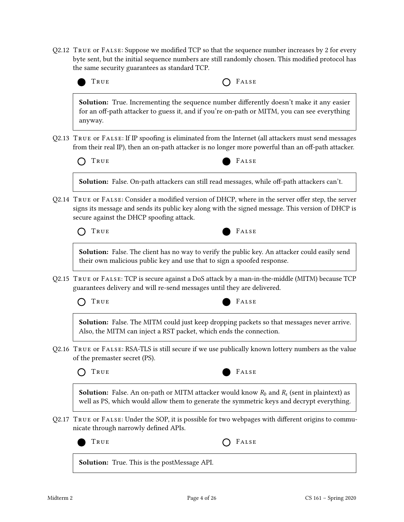Q2.12 TRUE OF FALSE: Suppose we modified TCP so that the sequence number increases by 2 for every byte sent, but the initial sequence numbers are still randomly chosen. This modified protocol has the same security guarantees as standard TCP.



 $Q2.17$  True or FALSE: Under the SOP, it is possible for two webpages with different origins to communicate through narrowly defined APIs.

Solution: True. This is the postMessage API.

TRUE **CONSTRUE**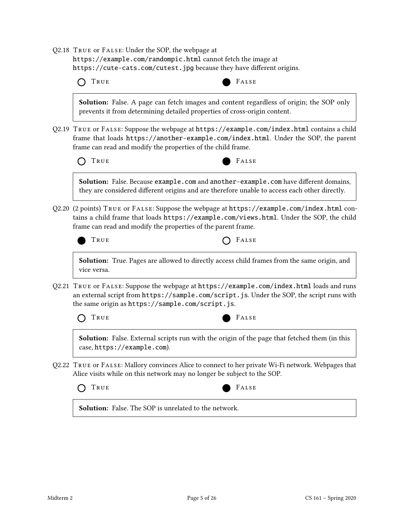| Q2.18 TRUE or FALSE: Under the SOP, the webpage at                                             |       |
|------------------------------------------------------------------------------------------------|-------|
| https://example.com/randompic.html cannot fetch the image at                                   |       |
| https://cute-cats.com/cutest.jpg because they have different origins.                          |       |
| $\bigcap$ TRUE                                                                                 | FALSE |
| <b>Solution:</b> False. A page can fetch images and content regardless of origin; the SOP only |       |

prevents it from determining detailed properties of cross-origin content.

Q2.19 True or False: Suppose the webpage at https://example.com/index.html contains a child frame that loads https://another-example.com/index.html. Under the SOP, the parent frame can read and modify the properties of the child frame.

| O TRUE |  |  |
|--------|--|--|
|--------|--|--|

Solution: False. Because example.com and another-example.com have different domains, they are considered different origins and are therefore unable to access each other directly.

Q2.20 (2 points) True or False: Suppose the webpage at https://example.com/index.html contains a child frame that loads https://example.com/views.html. Under the SOP, the child frame can read and modify the properties of the parent frame.



TRUE **CONSTRUE** 

False

Solution: True. Pages are allowed to directly access child frames from the same origin, and vice versa.

Q2.21 True or False: Suppose the webpage at https://example.com/index.html loads and runs an external script from https://sample.com/script.js. Under the SOP, the script runs with the same origin as https://sample.com/script.js.

TRUE FALSE



Solution: False. External scripts run with the origin of the page that fetched them (in this case, https://example.com).

Q2.22 True or False: Mallory convinces Alice to connect to her private Wi-Fi network. Webpages that Alice visits while on this network may no longer be subject to the SOP.



**Solution:** False. The SOP is unrelated to the network.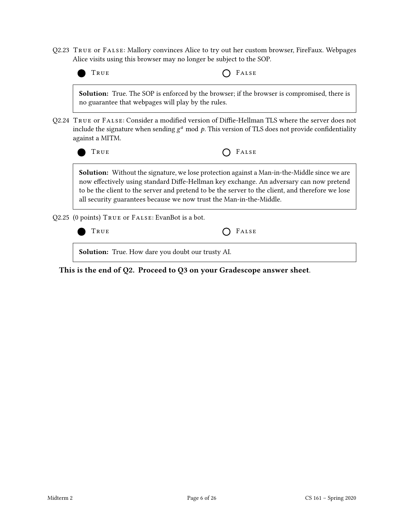Q2.23 True or False: Mallory convinces Alice to try out her custom browser, FireFaux. Webpages Alice visits using this browser may no longer be subject to the SOP.



This is the end of Q2. Proceed to Q3 on your Gradescope answer sheet.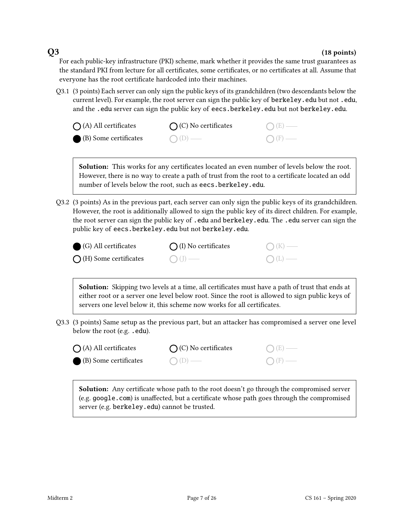### $Q3$  (18 points)

For each public-key infrastructure (PKI) scheme, mark whether it provides the same trust guarantees as the standard PKI from lecture for all certificates, some certificates, or no certificates at all. Assume that everyone has the root certificate hardcoded into their machines.

Q3.1 (3 points) Each server can only sign the public keys of its grandchildren (two descendants below the current level). For example, the root server can sign the public key of berkeley.edu but not .edu, and the .edu server can sign the public key of eecs.berkeley.edu but not berkeley.edu.

| $\bigcap$ (A) All certificates | $\bigcap$ (C) No certificates | $O(E)$ —        |
|--------------------------------|-------------------------------|-----------------|
| (B) Some certificates          | $O(D)$ —                      | $\bigcap$ (F) — |

Solution: This works for any certificates located an even number of levels below the root. However, there is no way to create a path of trust from the root to a certificate located an odd number of levels below the root, such as eecs.berkeley.edu.

Q3.2 (3 points) As in the previous part, each server can only sign the public keys of its grandchildren. However, the root is additionally allowed to sign the public key of its direct children. For example, the root server can sign the public key of .edu and berkeley.edu. The .edu server can sign the public key of eecs.berkeley.edu but not berkeley.edu.

| $\bigcirc$ (G) All certificates | $\bigcap$ (I) No certificates | $\bigcap (K)$ —  |
|---------------------------------|-------------------------------|------------------|
| $\bigcap$ (H) Some certificates | $\bigcirc$ (J) —              | $\bigcirc$ (L) — |

**Solution:** Skipping two levels at a time, all certificates must have a path of trust that ends at either root or a server one level below root. Since the root is allowed to sign public keys of servers one level below it, this scheme now works for all certificates.

- Q3.3 (3 points) Same setup as the previous part, but an attacker has compromised a server one level below the root (e.g. .edu).
	- $\bigcap$  (A) All certificates  $\bigcap$  (C) No certificates
	- (B) Some certificates





**Solution:** Any certificate whose path to the root doesn't go through the compromised server (e.g. google.com) is unaffected, but a certificate whose path goes through the compromised server (e.g. berkeley.edu) cannot be trusted.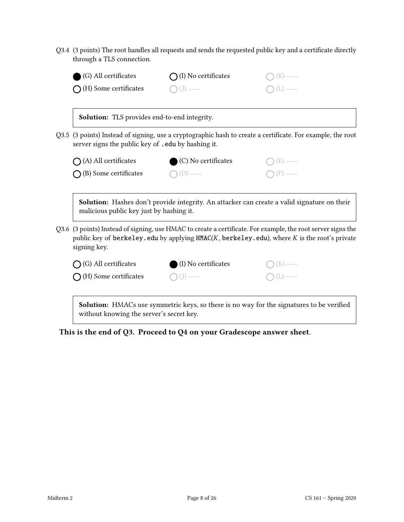Q3.4 (3 points) The root handles all requests and sends the requested public key and a certificate directly through a TLS connection.

| (G) All certificates                     | (I) No certificates                                 |                                                                                                                                                                                                                        |
|------------------------------------------|-----------------------------------------------------|------------------------------------------------------------------------------------------------------------------------------------------------------------------------------------------------------------------------|
| (H) Some certificates                    |                                                     |                                                                                                                                                                                                                        |
|                                          | <b>Solution:</b> TLS provides end-to-end integrity. |                                                                                                                                                                                                                        |
|                                          | server signs the public key of . edu by hashing it. | Q3.5 (3 points) Instead of signing, use a cryptographic hash to create a certificate. For example, the root                                                                                                            |
|                                          | (C) No certificates                                 |                                                                                                                                                                                                                        |
| $\bigcap$ (A) All certificates           |                                                     |                                                                                                                                                                                                                        |
| $\bigcap$ (B) Some certificates          |                                                     | Solution: Hashes don't provide integrity. An attacker can create a valid signature on their                                                                                                                            |
| malicious public key just by hashing it. |                                                     |                                                                                                                                                                                                                        |
| signing key.                             |                                                     | Q3.6 (3 points) Instead of signing, use HMAC to create a certificate. For example, the root server signs the<br>public key of berkeley. edu by applying $HMAC(K, \text{berkeley.edu})$ , where K is the root's private |
| $\bigcap$ (G) All certificates           | (I) No certificates                                 |                                                                                                                                                                                                                        |

This is the end of Q3. Proceed to Q4 on your Gradescope answer sheet.

without knowing the server's secret key.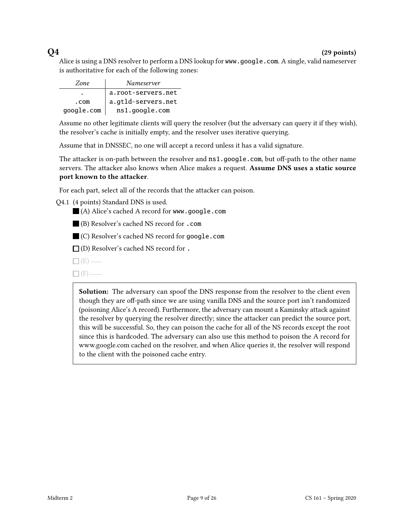### $Q4$  (29 points)

Alice is using a DNS resolver to perform a DNS lookup for www.google.com. A single, valid nameserver is authoritative for each of the following zones:

| Zone       | Nameserver         |
|------------|--------------------|
| ٠          | a.root-servers.net |
| .com       | a.gtld-servers.net |
| google.com | ns1.google.com     |

Assume no other legitimate clients will query the resolver (but the adversary can query it if they wish), the resolver's cache is initially empty, and the resolver uses iterative querying.

Assume that in DNSSEC, no one will accept a record unless it has a valid signature.

The attacker is on-path between the resolver and  $ns1.google.com$ , but off-path to the other name servers. The attacker also knows when Alice makes a request. Assume DNS uses a static source port known to the attacker.

For each part, select all of the records that the attacker can poison.

Q4.1 (4 points) Standard DNS is used.

(A) Alice's cached A record for www.google.com

(B) Resolver's cached NS record for .com

(C) Resolver's cached NS record for google.com

 $\Box$  (D) Resolver's cached NS record for.

- $\Box$  (E) —
- $\Box$ (F) —

Solution: The adversary can spoof the DNS response from the resolver to the client even though they are off-path since we are using vanilla DNS and the source port isn't randomized (poisoning Alice's A record). Furthermore, the adversary can mount a Kaminsky attack against the resolver by querying the resolver directly; since the attacker can predict the source port, this will be successful. So, they can poison the cache for all of the NS records except the root since this is hardcoded. The adversary can also use this method to poison the A record for www.google.com cached on the resolver, and when Alice queries it, the resolver will respond to the client with the poisoned cache entry.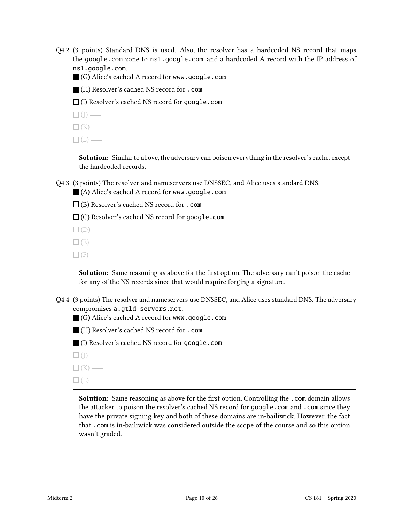- Q4.2 (3 points) Standard DNS is used. Also, the resolver has a hardcoded NS record that maps the google.com zone to ns1.google.com, and a hardcoded A record with the IP address of ns1.google.com.
	- (G) Alice's cached A record for www.google.com
	- (H) Resolver's cached NS record for .com
	- $\Box$  (I) Resolver's cached NS record for google.com
	- $\Box$ (J) —

 $\Box$ (K) —

 $\Box$ (L) —

Solution: Similar to above, the adversary can poison everything in the resolver's cache, except the hardcoded records.

- Q4.3 (3 points) The resolver and nameservers use DNSSEC, and Alice uses standard DNS. (A) Alice's cached A record for www.google.com
	- $\Box$  (B) Resolver's cached NS record for .com
	- $\Box$  (C) Resolver's cached NS record for google.com
	- $\Box$ (D) —
	- $\Box$  (E) —
	- $\Box$ (F) —

**Solution:** Same reasoning as above for the first option. The adversary can't poison the cache for any of the NS records since that would require forging a signature.

- Q4.4 (3 points) The resolver and nameservers use DNSSEC, and Alice uses standard DNS. The adversary compromises a.gtld-servers.net.
	- (G) Alice's cached A record for www.google.com
	- (H) Resolver's cached NS record for .com
	- (I) Resolver's cached NS record for google.com
	- $\square$  (J) —
	- $\Box$ (K) –
	- $\Box$ (L) —

Solution: Same reasoning as above for the first option. Controlling the .com domain allows the attacker to poison the resolver's cached NS record for google.com and .com since they have the private signing key and both of these domains are in-bailiwick. However, the fact that .com is in-bailiwick was considered outside the scope of the course and so this option wasn't graded.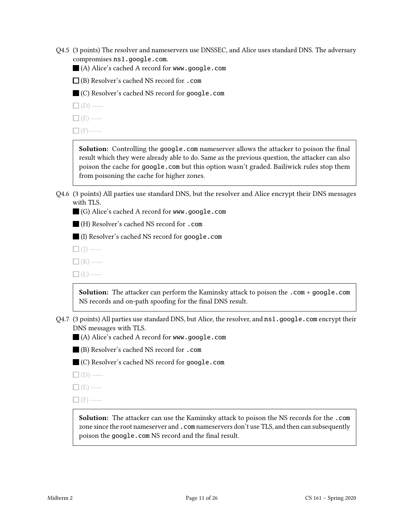- Q4.5 (3 points) The resolver and nameservers use DNSSEC, and Alice uses standard DNS. The adversary compromises ns1.google.com.
	- (A) Alice's cached A record for www.google.com
	- $\Box$  (B) Resolver's cached NS record for .com
	- (C) Resolver's cached NS record for google.com
	- $\square$  (D) —
	- $\Box$  (E) –
	- $\Box$  (F) —

Solution: Controlling the google.com nameserver allows the attacker to poison the final result which they were already able to do. Same as the previous question, the attacker can also poison the cache for google.com but this option wasn't graded. Bailiwick rules stop them from poisoning the cache for higher zones.

- Q4.6 (3 points) All parties use standard DNS, but the resolver and Alice encrypt their DNS messages with TLS.
	- (G) Alice's cached A record for www.google.com

(H) Resolver's cached NS record for .com

(I) Resolver's cached NS record for google.com

- $\square$  (J) —
- $\Box$ (K) —
- $\Box$ (L) —

Solution: The attacker can perform the Kaminsky attack to poison the .com + google.com NS records and on-path spoofing for the final DNS result.

- Q4.7 (3 points) All parties use standard DNS, but Alice, the resolver, and ns1.google.com encrypt their DNS messages with TLS.
	- (A) Alice's cached A record for www.google.com
	- (B) Resolver's cached NS record for .com
	- (C) Resolver's cached NS record for google.com
	- $\square$  (D) —
	- $\square$  (E) —
	- $\Box$  (F) —

Solution: The attacker can use the Kaminsky attack to poison the NS records for the .com zone since the root nameserver and .com nameservers don't use TLS, and then can subsequently poison the google.com NS record and the final result.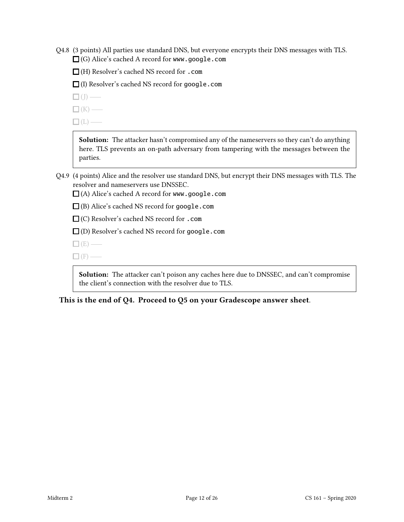Q4.8 (3 points) All parties use standard DNS, but everyone encrypts their DNS messages with TLS.  $\Box$  (G) Alice's cached A record for www.google.com

(H) Resolver's cached NS record for .com

(I) Resolver's cached NS record for google.com

- $\Box$ (J) —
- $\Box$ (K) —
- $\Box$ (L) —

Solution: The attacker hasn't compromised any of the nameservers so they can't do anything here. TLS prevents an on-path adversary from tampering with the messages between the parties.

- Q4.9 (4 points) Alice and the resolver use standard DNS, but encrypt their DNS messages with TLS. The resolver and nameservers use DNSSEC.
	- $\Box$  (A) Alice's cached A record for www.google.com
	- (B) Alice's cached NS record for google.com
	- □ (C) Resolver's cached NS record for .com

 $\square$  (D) Resolver's cached NS record for google.com

- $\Box$  (E) —
- $\Box$ (F) —

Solution: The attacker can't poison any caches here due to DNSSEC, and can't compromise the client's connection with the resolver due to TLS.

This is the end of Q4. Proceed to Q5 on your Gradescope answer sheet.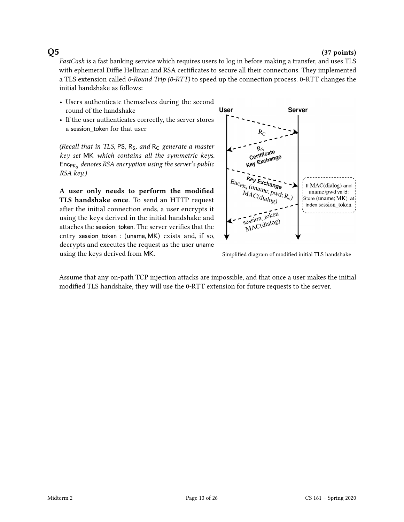### $Q5$  (37 points)

FastCash is a fast banking service which requires users to log in before making a transfer, and uses TLS with ephemeral Diffie Hellman and RSA certificates to secure all their connections. They implemented a TLS extension called 0-Round Trip (0-RTT) to speed up the connection process. 0-RTT changes the initial handshake as follows:

- Users authenticate themselves during the second round of the handshake
- If the user authenticates correctly, the server stores a session\_token for that user

(Recall that in TLS, PS,  $R_S$ , and  $R_C$  generate a master key set MK which contains all the symmetric keys.  $\mathsf{Enc}_{\mathsf{PK}_\mathsf{S}}$  denotes RSA encryption using the server's public RSA key.)

A user only needs to perform the modified TLS handshake once. To send an HTTP request after the initial connection ends, a user encrypts it using the keys derived in the initial handshake and attaches the session token. The server verifies that the entry session token : (uname, MK) exists and, if so, decrypts and executes the request as the user uname using the keys derived from MK. Simplified diagram of modified initial TLS handshake



Assume that any on-path TCP injection attacks are impossible, and that once a user makes the initial modified TLS handshake, they will use the 0-RTT extension for future requests to the server.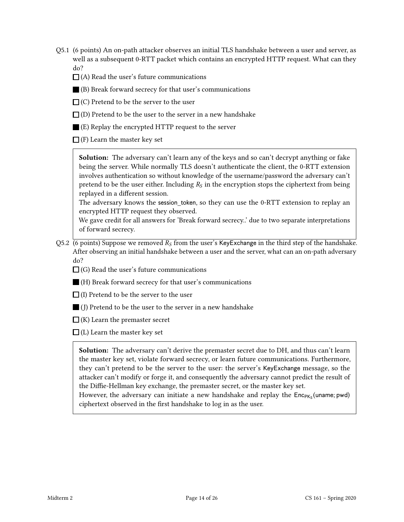Q5.1 (6 points) An on-path attacker observes an initial TLS handshake between a user and server, as well as a subsequent 0-RTT packet which contains an encrypted HTTP request. What can they do?

 $\Box$  (A) Read the user's future communications

(B) Break forward secrecy for that user's communications

 $\Box$  (C) Pretend to be the server to the user

- $\Box$  (D) Pretend to be the user to the server in a new handshake
- (E) Replay the encrypted HTTP request to the server

 $\Box$  (F) Learn the master key set

Solution: The adversary can't learn any of the keys and so can't decrypt anything or fake being the server. While normally TLS doesn't authenticate the client, the 0-RTT extension involves authentication so without knowledge of the username/password the adversary can't pretend to be the user either. Including  $R<sub>S</sub>$  in the encryption stops the ciphertext from being replayed in a different session.

The adversary knows the session\_token, so they can use the 0-RTT extension to replay an encrypted HTTP request they observed.

We gave credit for all answers for 'Break forward secrecy..' due to two separate interpretations of forward secrecy.

- Q5.2 (6 points) Suppose we removed  $R<sub>S</sub>$  from the user's KeyExchange in the third step of the handshake. After observing an initial handshake between a user and the server, what can an on-path adversary do?
	- $\Box$  (G) Read the user's future communications
	- (H) Break forward secrecy for that user's communications
	- $\Box$  (I) Pretend to be the server to the user
	- (J) Pretend to be the user to the server in a new handshake
	- $\Box$  (K) Learn the premaster secret
	- $\Box$  (L) Learn the master key set

Solution: The adversary can't derive the premaster secret due to DH, and thus can't learn the master key set, violate forward secrecy, or learn future communications. Furthermore, they can't pretend to be the server to the user: the server's KeyExchange message, so the attacker can't modify or forge it, and consequently the adversary cannot predict the result of the Diffie-Hellman key exchange, the premaster secret, or the master key set.

However, the adversary can initiate a new handshake and replay the Enc<sub>PKs</sub> (uname; pwd) ciphertext observed in the first handshake to log in as the user.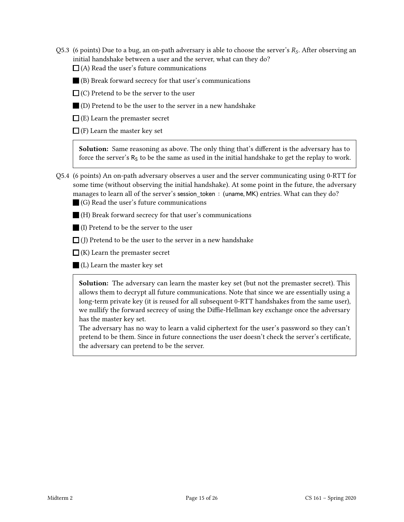- Q5.3 (6 points) Due to a bug, an on-path adversary is able to choose the server's  $R_s$ . After observing an initial handshake between a user and the server, what can they do?  $\Box$  (A) Read the user's future communications
	-
	- (B) Break forward secrecy for that user's communications
	- $\Box$  (C) Pretend to be the server to the user
	- (D) Pretend to be the user to the server in a new handshake
	- $\Box$  (E) Learn the premaster secret

 $\Box$  (F) Learn the master key set

**Solution:** Same reasoning as above. The only thing that's different is the adversary has to force the server's  $R_S$  to be the same as used in the initial handshake to get the replay to work.

Q5.4 (6 points) An on-path adversary observes a user and the server communicating using 0-RTT for some time (without observing the initial handshake). At some point in the future, the adversary manages to learn all of the server's session token ∶ (uname, MK) entries. What can they do? (G) Read the user's future communications

- (H) Break forward secrecy for that user's communications
- (I) Pretend to be the server to the user
- $\Box$  (J) Pretend to be the user to the server in a new handshake
- $\Box$  (K) Learn the premaster secret
- (L) Learn the master key set

Solution: The adversary can learn the master key set (but not the premaster secret). This allows them to decrypt all future communications. Note that since we are essentially using a long-term private key (it is reused for all subsequent 0-RTT handshakes from the same user), we nullify the forward secrecy of using the Diffie-Hellman key exchange once the adversary has the master key set.

The adversary has no way to learn a valid ciphertext for the user's password so they can't pretend to be them. Since in future connections the user doesn't check the server's certificate, the adversary can pretend to be the server.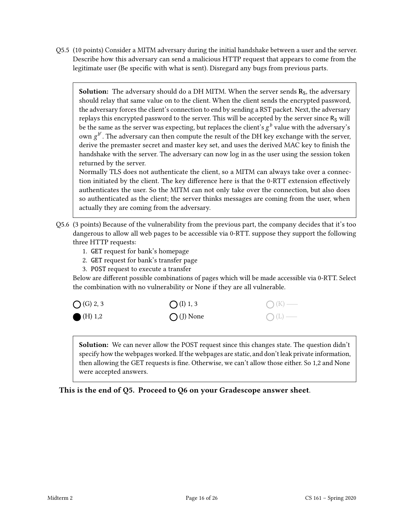Q5.5 (10 points) Consider a MITM adversary during the initial handshake between a user and the server. Describe how this adversary can send a malicious HTTP request that appears to come from the legitimate user (Be specific with what is sent). Disregard any bugs from previous parts.

**Solution:** The adversary should do a DH MITM. When the server sends  $\mathbf{R}_s$ , the adversary should relay that same value on to the client. When the client sends the encrypted password, the adversary forces the client's connection to end by sending a RST packet. Next, the adversary replays this encrypted password to the server. This will be accepted by the server since  $R<sub>S</sub>$  will be the same as the server was expecting, but replaces the client's  $g^b$  value with the adversary's own  $g^{b'}$ . The adversary can then compute the result of the DH key exchange with the server, derive the premaster secret and master key set, and uses the derived MAC key to finish the handshake with the server. The adversary can now log in as the user using the session token returned by the server.

Normally TLS does not authenticate the client, so a MITM can always take over a connection initiated by the client. The key difference here is that the 0-RTT extension effectively authenticates the user. So the MITM can not only take over the connection, but also does so authenticated as the client; the server thinks messages are coming from the user, when actually they are coming from the adversary.

- Q5.6 (3 points) Because of the vulnerability from the previous part, the company decides that it's too dangerous to allow all web pages to be accessible via 0-RTT. suppose they support the following three HTTP requests:
	- 1. GET request for bank's homepage
	- 2. GET request for bank's transfer page
	- 3. POST request to execute a transfer

Below are different possible combinations of pages which will be made accessible via 0-RTT. Select the combination with no vulnerability or None if they are all vulnerable.



Solution: We can never allow the POST request since this changes state. The question didn't specify how the webpages worked. If the webpages are static, and don't leak private information, then allowing the GET requests is fine. Otherwise, we can't allow those either. So 1,2 and None were accepted answers.

This is the end of Q5. Proceed to Q6 on your Gradescope answer sheet.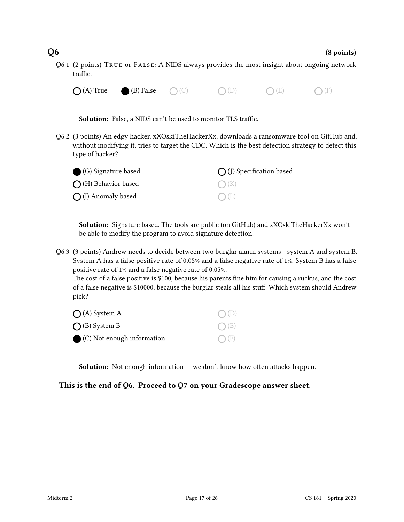Q6.1 (2 points) True or False: A NIDS always provides the most insight about ongoing network traffic.

|                                                                                                                  | <b>Solution:</b> False, a NIDS can't be used to monitor TLS traffic. |                                                                                                                                                                                                                                                                                                                     |  |
|------------------------------------------------------------------------------------------------------------------|----------------------------------------------------------------------|---------------------------------------------------------------------------------------------------------------------------------------------------------------------------------------------------------------------------------------------------------------------------------------------------------------------|--|
| Q6.2 (3 points) An edgy hacker, xXOskiTheHackerXx, downloads a ransomware tool on GitHub and,<br>type of hacker? |                                                                      | without modifying it, tries to target the CDC. Which is the best detection strategy to detect this                                                                                                                                                                                                                  |  |
| (G) Signature based                                                                                              |                                                                      | (J) Specification based                                                                                                                                                                                                                                                                                             |  |
| (H) Behavior based                                                                                               |                                                                      |                                                                                                                                                                                                                                                                                                                     |  |
| (I) Anomaly based                                                                                                |                                                                      |                                                                                                                                                                                                                                                                                                                     |  |
| Q6.3 (3 points) Andrew needs to decide between two burglar alarm systems - system A and system B.                | be able to modify the program to avoid signature detection.          | Solution: Signature based. The tools are public (on GitHub) and xXOskiTheHackerXx won't                                                                                                                                                                                                                             |  |
| positive rate of 1% and a false negative rate of 0.05%.                                                          |                                                                      | System A has a false positive rate of 0.05% and a false negative rate of 1%. System B has a false<br>The cost of a false positive is \$100, because his parents fine him for causing a ruckus, and the cost<br>of a false negative is \$10000, because the burglar steals all his stuff. Which system should Andrew |  |
| pick?                                                                                                            |                                                                      |                                                                                                                                                                                                                                                                                                                     |  |
| $\bigcap$ (A) System A<br>(B) System B                                                                           |                                                                      |                                                                                                                                                                                                                                                                                                                     |  |

This is the end of Q6. Proceed to Q7 on your Gradescope answer sheet.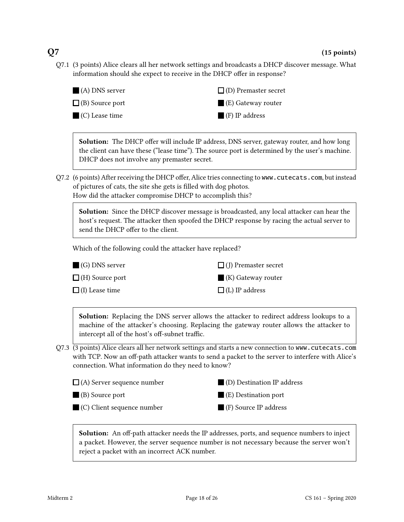Q7.1 (3 points) Alice clears all her network settings and broadcasts a DHCP discover message. What information should she expect to receive in the DHCP offer in response?



Solution: The DHCP offer will include IP address, DNS server, gateway router, and how long the client can have these ("lease time"). The source port is determined by the user's machine. DHCP does not involve any premaster secret.

Q7.2 (6 points) After receiving the DHCP offer, Alice tries connecting to www.cutecats.com, but instead of pictures of cats, the site she gets is filled with dog photos. How did the attacker compromise DHCP to accomplish this?

Solution: Since the DHCP discover message is broadcasted, any local attacker can hear the host's request. The attacker then spoofed the DHCP response by racing the actual server to

send the DHCP offer to the client.

Which of the following could the attacker have replaced?

| $\Box$ (G) DNS server  | $\Box$ (J) Premaster secret       |
|------------------------|-----------------------------------|
| $\Box$ (H) Source port | $\blacksquare$ (K) Gateway router |
| $\Box$ (I) Lease time  | $\Box$ (L) IP address             |

Solution: Replacing the DNS server allows the attacker to redirect address lookups to a machine of the attacker's choosing. Replacing the gateway router allows the attacker to intercept all of the host's off-subnet traffic.

Q7.3 (3 points) Alice clears all her network settings and starts a new connection to www.cutecats.com with TCP. Now an off-path attacker wants to send a packet to the server to interfere with Alice's connection. What information do they need to know?



Solution: An off-path attacker needs the IP addresses, ports, and sequence numbers to inject a packet. However, the server sequence number is not necessary because the server won't reject a packet with an incorrect ACK number.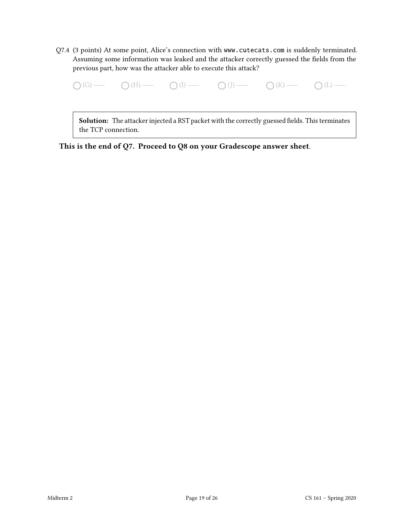Q7.4 (3 points) At some point, Alice's connection with www.cutecats.com is suddenly terminated. Assuming some information was leaked and the attacker correctly guessed the fields from the previous part, how was the attacker able to execute this attack?

 $\bigcap(G)$  (H)  $\bigcap(H)$  (I)  $\bigcap(H)$  (J)  $\bigcap(H)$  (I)  $\bigcap(H)$  (L)  $\bigcap(H)$  (L)  $\bigcap(H)$ 

Solution: The attacker injected a RST packet with the correctly guessed fields. This terminates the TCP connection.

This is the end of Q7. Proceed to Q8 on your Gradescope answer sheet.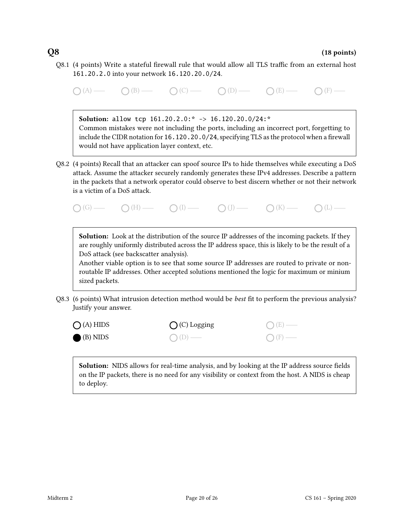Q8.1 (4 points) Write a stateful firewall rule that would allow all TLS traffic from an external host 161.20.2.0 into your network 16.120.20.0/24.

 $O(A)$   $O(B)$   $O(C)$   $O(D)$   $O(E)$   $O(E)$   $O(F)$   $O(F)$ Solution: allow tcp 161.20.2.0:\* -> 16.120.20.0/24:\* Common mistakes were not including the ports, including an incorrect port, forgetting to include the CIDR notation for 16.120.20.0/24, specifying TLS as the protocol when a firewall would not have application layer context, etc. Q8.2 (4 points) Recall that an attacker can spoof source IPs to hide themselves while executing a DoS attack. Assume the attacker securely randomly generates these IPv4 addresses. Describe a pattern in the packets that a network operator could observe to best discern whether or not their network is a victim of a DoS attack.  $\bigcap(G)$  (G)  $\longrightarrow$   $\bigcap(H)$   $\longrightarrow$   $\bigcap(I)$   $\longrightarrow$   $\bigcap(I)$   $\longrightarrow$   $\bigcap(K)$   $\longrightarrow$   $\bigcap(L)$   $\longrightarrow$ 

Solution: Look at the distribution of the source IP addresses of the incoming packets. If they are roughly uniformly distributed across the IP address space, this is likely to be the result of a DoS attack (see backscatter analysis).

Another viable option is to see that some source IP addresses are routed to private or nonroutable IP addresses. Other accepted solutions mentioned the logic for maximum or minium sized packets.

Q8.3 (6 points) What intrusion detection method would be *best* fit to perform the previous analysis? Justify your answer.

| $O(A)$ HIDS         | $O(C)$ Logging | $O(E)$ —         |
|---------------------|----------------|------------------|
| $\bigcirc$ (B) NIDS | $O(D)$ —       | $\bigcirc$ (F) — |

Solution: NIDS allows for real-time analysis, and by looking at the IP address source fields on the IP packets, there is no need for any visibility or context from the host. A NIDS is cheap to deploy.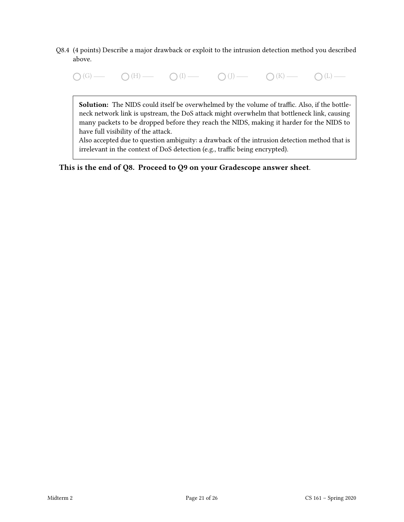- Q8.4 (4 points) Describe a major drawback or exploit to the intrusion detection method you described above.
	- $\bigcap(G)$  (H)  $\bigcap(H)$  (I)  $\bigcap(H)$  (J)  $\bigcap(H)$  (I)  $\bigcap(H)$  (L)  $\bigcap(H)$

Solution: The NIDS could itself be overwhelmed by the volume of traffic. Also, if the bottleneck network link is upstream, the DoS attack might overwhelm that bottleneck link, causing many packets to be dropped before they reach the NIDS, making it harder for the NIDS to have full visibility of the attack.

Also accepted due to question ambiguity: a drawback of the intrusion detection method that is irrelevant in the context of DoS detection (e.g., traffic being encrypted).

This is the end of Q8. Proceed to Q9 on your Gradescope answer sheet.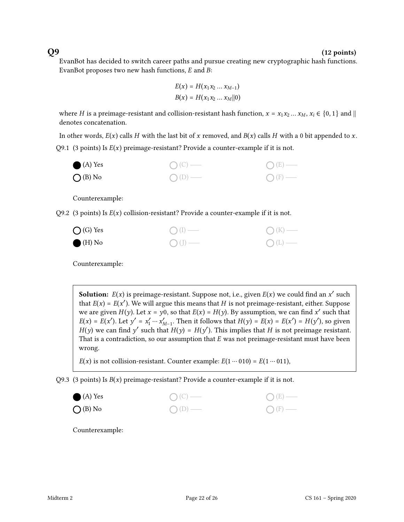### $Q9$  (12 points)

EvanBot has decided to switch career paths and pursue creating new cryptographic hash functions. EvanBot proposes two new hash functions,  $E$  and  $B$ :

$$
E(x) = H(x_1 x_2 ... x_{M-1})
$$
  

$$
B(x) = H(x_1 x_2 ... x_M || 0)
$$

where H is a preimage-resistant and collision-resistant hash function,  $x = x_1 x_2 ... x_M$ ,  $x_i \in \{0, 1\}$  and  $\parallel$ denotes concatenation.

In other words,  $E(x)$  calls H with the last bit of x removed, and  $B(x)$  calls H with a 0 bit appended to x. Q9.1 (3 points) Is  $E(x)$  preimage-resistant? Provide a counter-example if it is not.



Counterexample:

Q9.2 (3 points) Is  $E(x)$  collision-resistant? Provide a counter-example if it is not.

| $\bigcap$ (G) Yes | $O(I)$ — | $\bigcap (K)$ — |
|-------------------|----------|-----------------|
| $\bullet$ (H) No  | $O(J)$ — | $O(L)$ —        |

Counterexample:

**Solution:**  $E(x)$  is preimage-resistant. Suppose not, i.e., given  $E(x)$  we could find an  $x'$  such that  $E(x) = E(x')$ . We will argue this means that H is not preimage-resistant, either. Suppose we are given  $H(y)$ . Let  $x = y0$ , so that  $E(x) = H(y)$ . By assumption, we can find x' such that  $E(x) = E(x')$ . Let  $y' = x'_1 \cdots x'_{M-1}$ . Then it follows that  $H(y) = E(x) = E(x') = H(y')$ , so given  $H(y)$  we can find y' such that  $H(y) = H(y')$ . This implies that H is not preimage resistant. That is a contradiction, so our assumption that  $E$  was not preimage-resistant must have been wrong.

 $E(x)$  is not collision-resistant. Counter example:  $E(1 \cdots 010) = E(1 \cdots 011)$ ,

Q9.3 (3 points) Is  $B(x)$  preimage-resistant? Provide a counter-example if it is not.



Counterexample: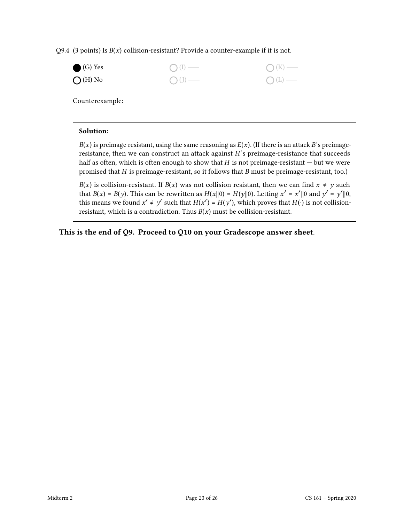Q9.4 (3 points) Is  $B(x)$  collision-resistant? Provide a counter-example if it is not.



Counterexample:

### Solution:

 $B(x)$  is preimage resistant, using the same reasoning as  $E(x)$ . (If there is an attack B's preimageresistance, then we can construct an attack against  $H$ 's preimage-resistance that succeeds half as often, which is often enough to show that  $H$  is not preimage-resistant  $-$  but we were promised that  $H$  is preimage-resistant, so it follows that  $B$  must be preimage-resistant, too.)

 $B(x)$  is collision-resistant. If  $B(x)$  was not collision resistant, then we can find  $x \neq y$  such that  $B(x) = B(y)$ . This can be rewritten as  $H(x||0) = H(y||0)$ . Letting  $x' = x'||0$  and  $y' = y'||0$ , this means we found  $x' \neq y'$  such that  $H(x') = H(y')$ , which proves that  $H(\cdot)$  is not collisionresistant, which is a contradiction. Thus  $B(x)$  must be collision-resistant.

This is the end of Q9. Proceed to Q10 on your Gradescope answer sheet.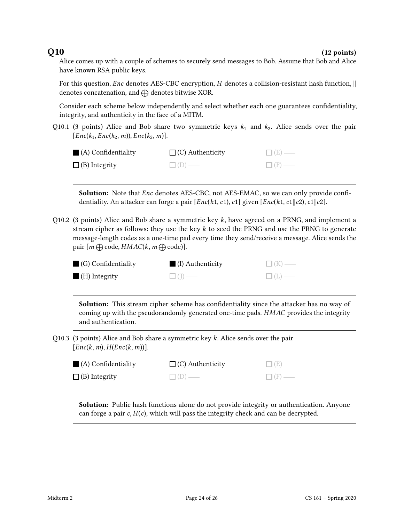$Q10$  (12 points)

Alice comes up with a couple of schemes to securely send messages to Bob. Assume that Bob and Alice have known RSA public keys.

For this question, *Enc* denotes AES-CBC encryption, *H* denotes a collision-resistant hash function,  $\parallel$ denotes concatenation, and  $\bigoplus$  denotes bitwise XOR.

Consider each scheme below independently and select whether each one guarantees confidentiality, integrity, and authenticity in the face of a MITM.

Q10.1 (3 points) Alice and Bob share two symmetric keys  $k_1$  and  $k_2$ . Alice sends over the pair  $[Enc(k_1, Enc(k_2, m)), Enc(k_2, m)].$ 

| $\blacksquare$ (A) Confidentiality | $\Box$ (C) Authenticity | $\Box$ (E) — |
|------------------------------------|-------------------------|--------------|
| $\Box$ (B) Integrity               | $\Box$ (D) —            | $\Box$ (F) — |

**Solution:** Note that *Enc* denotes AES-CBC, not AES-EMAC, so we can only provide confidentiality. An attacker can forge a pair  $[Enc(k1, c1), c1]$  given  $[Enc(k1, c1||c2), c1||c2]$ .

Q10.2 (3 points) Alice and Bob share a symmetric key  $k$ , have agreed on a PRNG, and implement a stream cipher as follows: they use the key  $k$  to seed the PRNG and use the PRNG to generate message-length codes as a one-time pad every time they send/receive a message. Alice sends the pair  $[m \bigoplus \text{code}, HMAC(k, m \bigoplus \text{code})].$ 

| $\Box$ (G) Confidentiality | $\blacksquare$ (I) Authenticity | $\Box$ (K) — |
|----------------------------|---------------------------------|--------------|
| $(H)$ Integrity            | $\Box$ ( $\Box$ ) —             | $\Box(L)$    |

Solution: This stream cipher scheme has confidentiality since the attacker has no way of coming up with the pseudorandomly generated one-time pads. HMAC provides the integrity and authentication.

Q10.3 (3 points) Alice and Bob share a symmetric key  $k$ . Alice sends over the pair  $[Enc(k, m), H(Enc(k, m))].$ 

| $\blacksquare$ (A) Confidentiality | $\Box$ (C) Authenticity | $\Box$ (E) — |
|------------------------------------|-------------------------|--------------|
| $\Box$ (B) Integrity               | $\Box$ (D) —            | $\Box$ (F) — |

**Solution:** Public hash functions alone do not provide integrity or authentication. Anyone can forge a pair  $c$ ,  $H(c)$ , which will pass the integrity check and can be decrypted.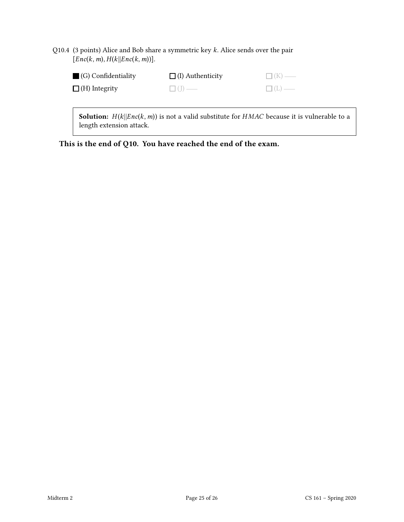| Q10.4 (3 points) Alice and Bob share a symmetric key $k$ . Alice sends over the pair |
|--------------------------------------------------------------------------------------|
| $[Enc(k, m), H(k)   Enc(k, m)]$ .                                                    |

| $\Box$ (G) Confidentiality | $\Box$ (I) Authenticity | $\Box$ (K) — |
|----------------------------|-------------------------|--------------|
| $\Box$ (H) Integrity       | $\Box$ (1) —            | $\Box$ (L) — |
|                            |                         |              |

**Solution:**  $H(k||Enc(k, m))$  is not a valid substitute for  $HMAC$  because it is vulnerable to a length extension attack.

This is the end of Q10. You have reached the end of the exam.